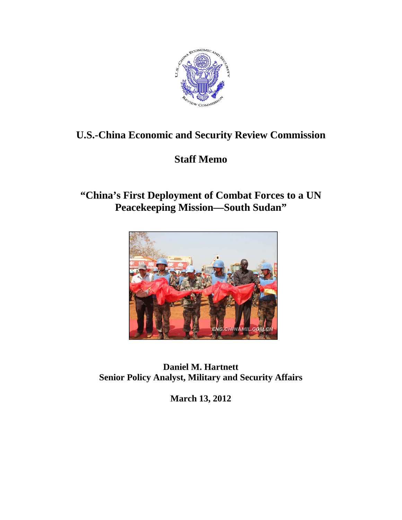

# **U.S.-China Economic and Security Review Commission**

# **Staff Memo**

# **"China's First Deployment of Combat Forces to a UN Peacekeeping Mission—South Sudan"**



**Daniel M. Hartnett Senior Policy Analyst, Military and Security Affairs** 

**March 13, 2012**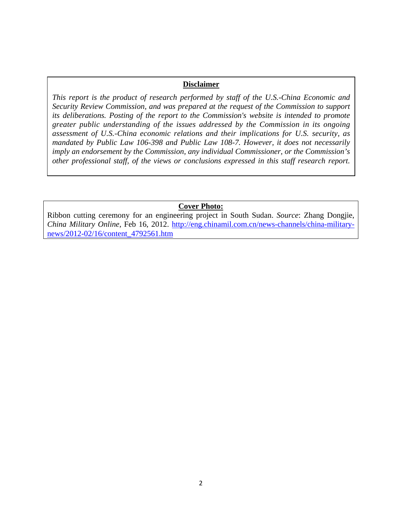#### **Disclaimer**

*This report is the product of research performed by staff of the U.S.-China Economic and Security Review Commission, and was prepared at the request of the Commission to support its deliberations. Posting of the report to the Commission's website is intended to promote greater public understanding of the issues addressed by the Commission in its ongoing assessment of U.S.-China economic relations and their implications for U.S. security, as mandated by Public Law 106-398 and Public Law 108-7. However, it does not necessarily imply an endorsement by the Commission, any individual Commissioner, or the Commission's other professional staff, of the views or conclusions expressed in this staff research report.* 

#### **Cover Photo:**

Ribbon cutting ceremony for an engineering project in South Sudan. *Source*: Zhang Dongjie, *China Military Online*, Feb 16, 2012. http://eng.chinamil.com.cn/news-channels/china-militarynews/2012-02/16/content\_4792561.htm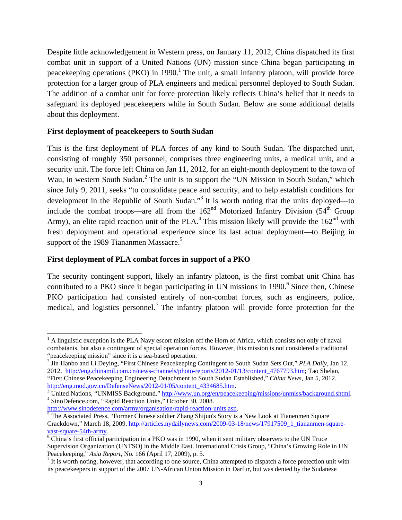Despite little acknowledgement in Western press, on January 11, 2012, China dispatched its first combat unit in support of a United Nations (UN) mission since China began participating in peacekeeping operations (PKO) in 1990.<sup>1</sup> The unit, a small infantry platoon, will provide force protection for a larger group of PLA engineers and medical personnel deployed to South Sudan. The addition of a combat unit for force protection likely reflects China's belief that it needs to safeguard its deployed peacekeepers while in South Sudan. Below are some additional details about this deployment.

#### **First deployment of peacekeepers to South Sudan**

This is the first deployment of PLA forces of any kind to South Sudan. The dispatched unit, consisting of roughly 350 personnel, comprises three engineering units, a medical unit, and a security unit. The force left China on Jan 11, 2012, for an eight-month deployment to the town of Wau, in western South Sudan.<sup>2</sup> The unit is to support the "UN Mission in South Sudan," which since July 9, 2011, seeks "to consolidate peace and security, and to help establish conditions for development in the Republic of South Sudan."<sup>3</sup> It is worth noting that the units deployed—to include the combat troops—are all from the  $162<sup>nd</sup>$  Motorized Infantry Division (54<sup>th</sup> Group Army), an elite rapid reaction unit of the PLA.<sup>4</sup> This mission likely will provide the  $162<sup>nd</sup>$  with fresh deployment and operational experience since its last actual deployment—to Beijing in support of the 1989 Tiananmen Massacre.<sup>5</sup>

### **First deployment of PLA combat forces in support of a PKO**

The security contingent support, likely an infantry platoon, is the first combat unit China has contributed to a PKO since it began participating in UN missions in 1990.<sup>6</sup> Since then, Chinese PKO participation had consisted entirely of non-combat forces, such as engineers, police, medical, and logistics personnel.<sup>7</sup> The infantry platoon will provide force protection for the

<sup>&</sup>lt;sup>1</sup> A linguistic exception is the PLA Navy escort mission off the Horn of Africa, which consists not only of naval combatants, but also a contingent of special operation forces. However, this mission is not considered a traditional

<sup>&</sup>quot;peacekeeping mission" since it is a sea-based operation. 2 Jin Hanbo and Li Deying, "First Chinese Peacekeeping Contingent to South Sudan Sets Out," *PLA Daily,* Jan 12, 2012. http://eng.chinamil.com.cn/news-channels/photo-reports/2012-01/13/content\_4767793.htm; Tao Shelan, "First Chinese Peacekeeping Engineering Detachment to South Sudan Established," *China News*, Jan 5, 2012. http://eng.mod.gov.cn/DefenseNews/2012-01/05/content\_4334685.htm. 3

<sup>&</sup>lt;sup>3</sup> United Nations, "UNMISS Background." http://www.un.org/en/peacekeeping/missions/unmiss/background.shtml. SinoDefence.com, "Rapid Reaction Units," October 30, 2008.

http://www.sinodefence.com/army/organisation/rapid-reaction-units.asp.

<sup>&</sup>lt;sup>5</sup>The Associated Press, "Former Chinese soldier Zhang Shijun's Story is a New Look at Tianenmen Square Crackdown," March 18, 2009. http://articles.nydailynews.com/2009-03-18/news/17917509\_1\_tiananmen-squarevast-square-54th-army.

 $\overline{6}$  China's first official participation in a PKO was in 1990, when it sent military observers to the UN Truce Supervision Organization (UNTSO) in the Middle East. International Crisis Group, "China's Growing Role in UN Peacekeeping," *Asia Report*, No. 166 (April 17, 2009), p. 5.

 $<sup>7</sup>$  It is worth noting, however, that according to one source, China attempted to dispatch a force protection unit with</sup> its peacekeepers in support of the 2007 UN-African Union Mission in Darfur, but was denied by the Sudanese